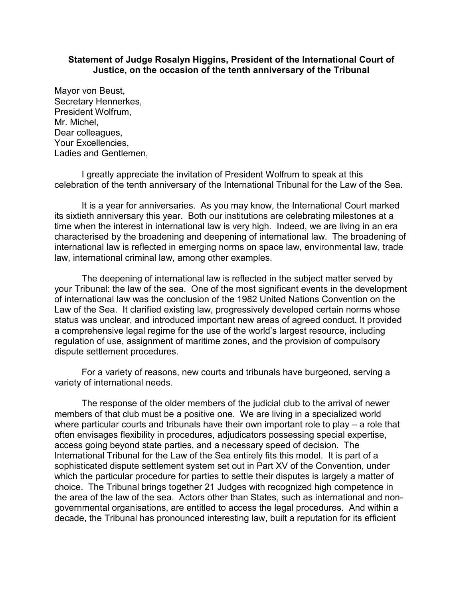## **Statement of Judge Rosalyn Higgins, President of the International Court of Justice, on the occasion of the tenth anniversary of the Tribunal**

Mayor von Beust, Secretary Hennerkes, President Wolfrum, Mr. Michel, Dear colleagues, Your Excellencies, Ladies and Gentlemen,

I greatly appreciate the invitation of President Wolfrum to speak at this celebration of the tenth anniversary of the International Tribunal for the Law of the Sea.

It is a year for anniversaries. As you may know, the International Court marked its sixtieth anniversary this year. Both our institutions are celebrating milestones at a time when the interest in international law is very high. Indeed, we are living in an era characterised by the broadening and deepening of international law. The broadening of international law is reflected in emerging norms on space law, environmental law, trade law, international criminal law, among other examples.

The deepening of international law is reflected in the subject matter served by your Tribunal: the law of the sea. One of the most significant events in the development of international law was the conclusion of the 1982 United Nations Convention on the Law of the Sea. It clarified existing law, progressively developed certain norms whose status was unclear, and introduced important new areas of agreed conduct. It provided a comprehensive legal regime for the use of the world's largest resource, including regulation of use, assignment of maritime zones, and the provision of compulsory dispute settlement procedures.

For a variety of reasons, new courts and tribunals have burgeoned, serving a variety of international needs.

The response of the older members of the judicial club to the arrival of newer members of that club must be a positive one. We are living in a specialized world where particular courts and tribunals have their own important role to play – a role that often envisages flexibility in procedures, adjudicators possessing special expertise, access going beyond state parties, and a necessary speed of decision. The International Tribunal for the Law of the Sea entirely fits this model. It is part of a sophisticated dispute settlement system set out in Part XV of the Convention, under which the particular procedure for parties to settle their disputes is largely a matter of choice. The Tribunal brings together 21 Judges with recognized high competence in the area of the law of the sea. Actors other than States, such as international and nongovernmental organisations, are entitled to access the legal procedures. And within a decade, the Tribunal has pronounced interesting law, built a reputation for its efficient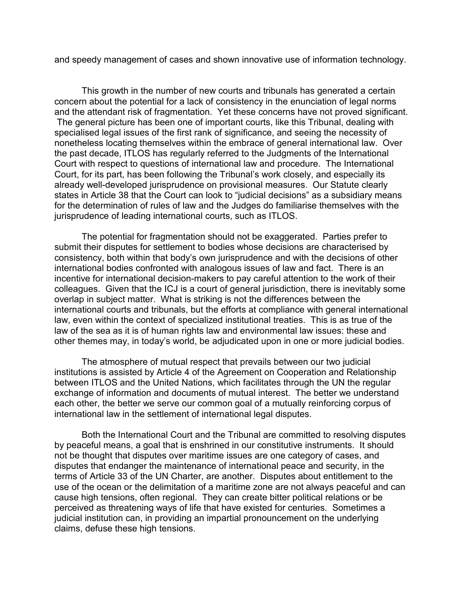and speedy management of cases and shown innovative use of information technology.

This growth in the number of new courts and tribunals has generated a certain concern about the potential for a lack of consistency in the enunciation of legal norms and the attendant risk of fragmentation. Yet these concerns have not proved significant. The general picture has been one of important courts, like this Tribunal, dealing with specialised legal issues of the first rank of significance, and seeing the necessity of nonetheless locating themselves within the embrace of general international law. Over the past decade, ITLOS has regularly referred to the Judgments of the International Court with respect to questions of international law and procedure. The International Court, for its part, has been following the Tribunal's work closely, and especially its already well-developed jurisprudence on provisional measures. Our Statute clearly states in Article 38 that the Court can look to "judicial decisions" as a subsidiary means for the determination of rules of law and the Judges do familiarise themselves with the jurisprudence of leading international courts, such as ITLOS.

The potential for fragmentation should not be exaggerated. Parties prefer to submit their disputes for settlement to bodies whose decisions are characterised by consistency, both within that body's own jurisprudence and with the decisions of other international bodies confronted with analogous issues of law and fact. There is an incentive for international decision-makers to pay careful attention to the work of their colleagues. Given that the ICJ is a court of general jurisdiction, there is inevitably some overlap in subject matter. What is striking is not the differences between the international courts and tribunals, but the efforts at compliance with general international law, even within the context of specialized institutional treaties. This is as true of the law of the sea as it is of human rights law and environmental law issues: these and other themes may, in today's world, be adjudicated upon in one or more judicial bodies.

The atmosphere of mutual respect that prevails between our two judicial institutions is assisted by Article 4 of the Agreement on Cooperation and Relationship between ITLOS and the United Nations, which facilitates through the UN the regular exchange of information and documents of mutual interest. The better we understand each other, the better we serve our common goal of a mutually reinforcing corpus of international law in the settlement of international legal disputes.

Both the International Court and the Tribunal are committed to resolving disputes by peaceful means, a goal that is enshrined in our constitutive instruments. It should not be thought that disputes over maritime issues are one category of cases, and disputes that endanger the maintenance of international peace and security, in the terms of Article 33 of the UN Charter, are another. Disputes about entitlement to the use of the ocean or the delimitation of a maritime zone are not always peaceful and can cause high tensions, often regional. They can create bitter political relations or be perceived as threatening ways of life that have existed for centuries. Sometimes a judicial institution can, in providing an impartial pronouncement on the underlying claims, defuse these high tensions.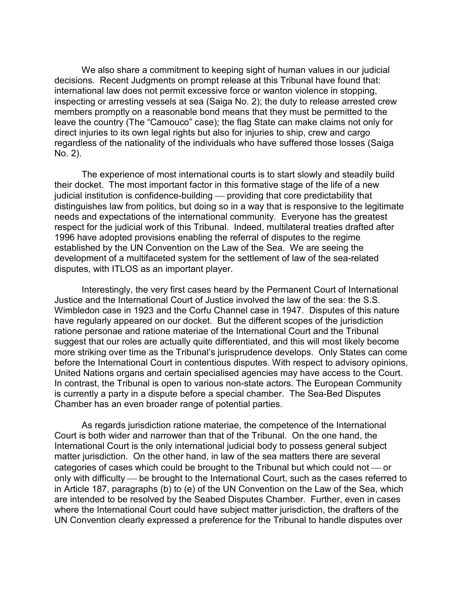We also share a commitment to keeping sight of human values in our judicial decisions. Recent Judgments on prompt release at this Tribunal have found that: international law does not permit excessive force or wanton violence in stopping, inspecting or arresting vessels at sea (Saiga No. 2); the duty to release arrested crew members promptly on a reasonable bond means that they must be permitted to the leave the country (The "Camouco" case); the flag State can make claims not only for direct injuries to its own legal rights but also for injuries to ship, crew and cargo regardless of the nationality of the individuals who have suffered those losses (Saiga No. 2).

The experience of most international courts is to start slowly and steadily build their docket. The most important factor in this formative stage of the life of a new judicial institution is confidence-building — providing that core predictability that distinguishes law from politics, but doing so in a way that is responsive to the legitimate needs and expectations of the international community. Everyone has the greatest respect for the judicial work of this Tribunal. Indeed, multilateral treaties drafted after 1996 have adopted provisions enabling the referral of disputes to the regime established by the UN Convention on the Law of the Sea. We are seeing the development of a multifaceted system for the settlement of law of the sea-related disputes, with ITLOS as an important player.

Interestingly, the very first cases heard by the Permanent Court of International Justice and the International Court of Justice involved the law of the sea: the S.S. Wimbledon case in 1923 and the Corfu Channel case in 1947. Disputes of this nature have regularly appeared on our docket. But the different scopes of the jurisdiction ratione personae and ratione materiae of the International Court and the Tribunal suggest that our roles are actually quite differentiated, and this will most likely become more striking over time as the Tribunal's jurisprudence develops. Only States can come before the International Court in contentious disputes. With respect to advisory opinions, United Nations organs and certain specialised agencies may have access to the Court. In contrast, the Tribunal is open to various non-state actors. The European Community is currently a party in a dispute before a special chamber. The Sea-Bed Disputes Chamber has an even broader range of potential parties.

As regards jurisdiction ratione materiae, the competence of the International Court is both wider and narrower than that of the Tribunal. On the one hand, the International Court is the only international judicial body to possess general subject matter jurisdiction. On the other hand, in law of the sea matters there are several categories of cases which could be brought to the Tribunal but which could not  $\sim$  or only with difficulty — be brought to the International Court, such as the cases referred to in Article 187, paragraphs (b) to (e) of the UN Convention on the Law of the Sea, which are intended to be resolved by the Seabed Disputes Chamber. Further, even in cases where the International Court could have subject matter jurisdiction, the drafters of the UN Convention clearly expressed a preference for the Tribunal to handle disputes over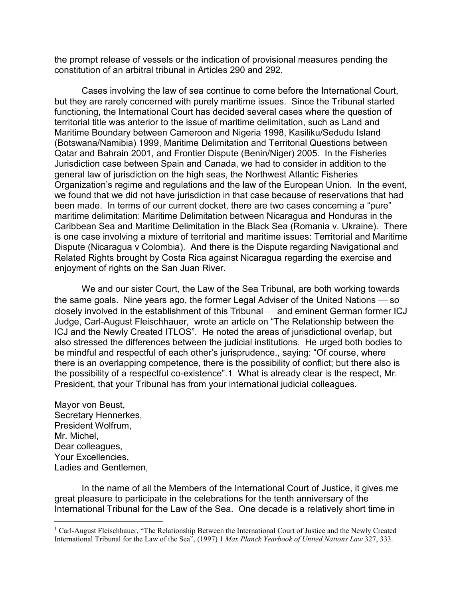the prompt release of vessels or the indication of provisional measures pending the constitution of an arbitral tribunal in Articles 290 and 292.

Cases involving the law of sea continue to come before the International Court, but they are rarely concerned with purely maritime issues. Since the Tribunal started functioning, the International Court has decided several cases where the question of territorial title was anterior to the issue of maritime delimitation, such as Land and Maritime Boundary between Cameroon and Nigeria 1998, Kasiliku/Sedudu Island (Botswana/Namibia) 1999, Maritime Delimitation and Territorial Questions between Qatar and Bahrain 2001, and Frontier Dispute (Benin/Niger) 2005. In the Fisheries Jurisdiction case between Spain and Canada, we had to consider in addition to the general law of jurisdiction on the high seas, the Northwest Atlantic Fisheries Organization's regime and regulations and the law of the European Union. In the event, we found that we did not have jurisdiction in that case because of reservations that had been made. In terms of our current docket, there are two cases concerning a "pure" maritime delimitation: Maritime Delimitation between Nicaragua and Honduras in the Caribbean Sea and Maritime Delimitation in the Black Sea (Romania v. Ukraine). There is one case involving a mixture of territorial and maritime issues: Territorial and Maritime Dispute (Nicaragua v Colombia). And there is the Dispute regarding Navigational and Related Rights brought by Costa Rica against Nicaragua regarding the exercise and enjoyment of rights on the San Juan River.

We and our sister Court, the Law of the Sea Tribunal, are both working towards the same goals. Nine years ago, the former Legal Adviser of the United Nations  $\sim$  so closely involved in the establishment of this Tribunal — and eminent German former ICJ Judge, Carl-August Fleischhauer, wrote an article on "The Relationship between the ICJ and the Newly Created ITLOS". He noted the areas of jurisdictional overlap, but also stressed the differences between the judicial institutions. He urged both bodies to be mindful and respectful of each other's jurisprudence., saying: "Of course, where there is an overlapping competence, there is the possibility of conflict; but there also is the possibility of a respectful co-existence".[1](#page-3-0) What is already clear is the respect, Mr. President, that your Tribunal has from your international judicial colleagues.

Mayor von Beust, Secretary Hennerkes, President Wolfrum, Mr. Michel, Dear colleagues, Your Excellencies, Ladies and Gentlemen,

In the name of all the Members of the International Court of Justice, it gives me great pleasure to participate in the celebrations for the tenth anniversary of the International Tribunal for the Law of the Sea. One decade is a relatively short time in

<span id="page-3-0"></span><sup>&</sup>lt;sup>1</sup> Carl-August Fleischhauer, "The Relationship Between the International Court of Justice and the Newly Created International Tribunal for the Law of the Sea", (1997) 1 *Max Planck Yearbook of United Nations Law* 327, 333.